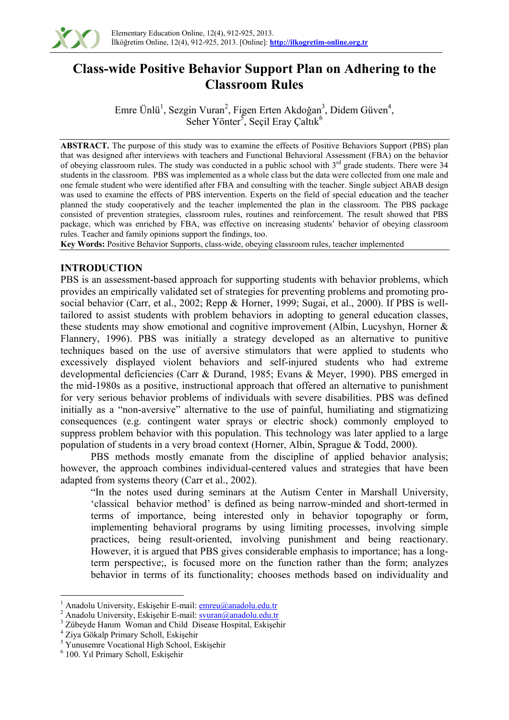

# **Class-wide Positive Behavior Support Plan on Adhering to the Classroom Rules**

Emre Ünlü<sup>1</sup>, Sezgin Vuran<sup>2</sup>, Figen Erten Akdoğan<sup>3</sup>, Didem Güven<sup>4</sup>, Seher Yönter<sup>5</sup>, Seçil Eray Çaltık<sup>6</sup>

**ABSTRACT.** The purpose of this study was to examine the effects of Positive Behaviors Support (PBS) plan that was designed after interviews with teachers and Functional Behavioral Assessment (FBA) on the behavior of obeying classroom rules. The study was conducted in a public school with 3<sup>rd</sup> grade students. There were 34 students in the classroom. PBS was implemented as a whole class but the data were collected from one male and one female student who were identified after FBA and consulting with the teacher. Single subject ABAB design was used to examine the effects of PBS intervention. Experts on the field of special education and the teacher planned the study cooperatively and the teacher implemented the plan in the classroom. The PBS package consisted of prevention strategies, classroom rules, routines and reinforcement. The result showed that PBS package, which was enriched by FBA, was effective on increasing students' behavior of obeying classroom rules. Teacher and family opinions support the findings, too.

**Key Words:** Positive Behavior Supports, class-wide, obeying classroom rules, teacher implemented

# **INTRODUCTION**

PBS is an assessment-based approach for supporting students with behavior problems, which provides an empirically validated set of strategies for preventing problems and promoting prosocial behavior (Carr, et al., 2002; Repp & Horner, 1999; Sugai, et al., 2000). If PBS is welltailored to assist students with problem behaviors in adopting to general education classes, these students may show emotional and cognitive improvement (Albin, Lucyshyn, Horner & Flannery, 1996). PBS was initially a strategy developed as an alternative to punitive techniques based on the use of aversive stimulators that were applied to students who excessively displayed violent behaviors and self-injured students who had extreme developmental deficiencies (Carr & Durand, 1985; Evans & Meyer, 1990). PBS emerged in the mid-1980s as a positive, instructional approach that offered an alternative to punishment for very serious behavior problems of individuals with severe disabilities. PBS was defined initially as a "non-aversive" alternative to the use of painful, humiliating and stigmatizing consequences (e.g. contingent water sprays or electric shock) commonly employed to suppress problem behavior with this population. This technology was later applied to a large population of students in a very broad context (Horner, Albin, Sprague & Todd, 2000).

PBS methods mostly emanate from the discipline of applied behavior analysis; however, the approach combines individual-centered values and strategies that have been adapted from systems theory (Carr et al., 2002).

"In the notes used during seminars at the Autism Center in Marshall University, 'classical behavior method' is defined as being narrow-minded and short-termed in terms of importance, being interested only in behavior topography or form, implementing behavioral programs by using limiting processes, involving simple practices, being result-oriented, involving punishment and being reactionary. However, it is argued that PBS gives considerable emphasis to importance; has a longterm perspective;, is focused more on the function rather than the form; analyzes behavior in terms of its functionality; chooses methods based on individuality and

1

<sup>1</sup> Anadolu University, Eskişehir E-mail: emreu@anadolu.edu.tr

Anadolu University, Eskişehir E-mail: svuran@anadolu.edu.tr

<sup>&</sup>lt;sup>3</sup> Zübeyde Hanım Woman and Child Disease Hospital, Eskişehir

Ziya Gökalp Primary Scholl, Eskişehir 5

<sup>&</sup>lt;sup>5</sup> Yunusemre Vocational High School, Eskişehir

 <sup>100.</sup> Yıl Primary Scholl, Eskişehir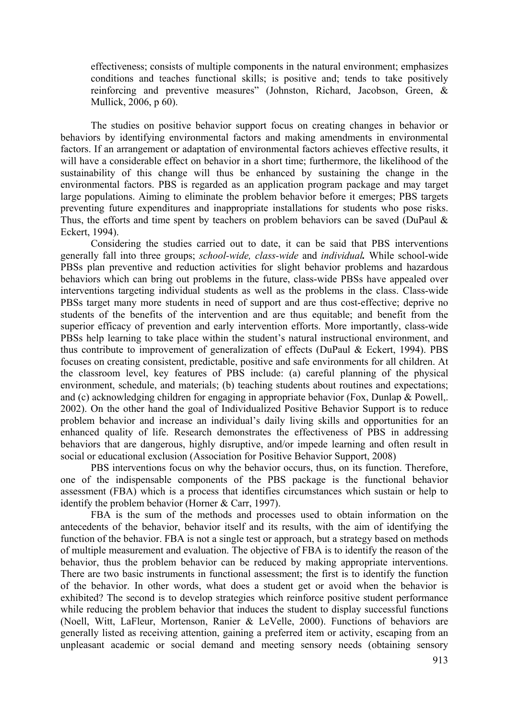effectiveness; consists of multiple components in the natural environment; emphasizes conditions and teaches functional skills; is positive and; tends to take positively reinforcing and preventive measures" (Johnston, Richard, Jacobson, Green, & Mullick, 2006, p 60).

The studies on positive behavior support focus on creating changes in behavior or behaviors by identifying environmental factors and making amendments in environmental factors. If an arrangement or adaptation of environmental factors achieves effective results, it will have a considerable effect on behavior in a short time; furthermore, the likelihood of the sustainability of this change will thus be enhanced by sustaining the change in the environmental factors. PBS is regarded as an application program package and may target large populations. Aiming to eliminate the problem behavior before it emerges; PBS targets preventing future expenditures and inappropriate installations for students who pose risks. Thus, the efforts and time spent by teachers on problem behaviors can be saved (DuPaul  $\&$ Eckert, 1994).

Considering the studies carried out to date, it can be said that PBS interventions generally fall into three groups; *school-wide, class-wide* and *individual.* While school-wide PBSs plan preventive and reduction activities for slight behavior problems and hazardous behaviors which can bring out problems in the future, class-wide PBSs have appealed over interventions targeting individual students as well as the problems in the class. Class-wide PBSs target many more students in need of support and are thus cost-effective; deprive no students of the benefits of the intervention and are thus equitable; and benefit from the superior efficacy of prevention and early intervention efforts. More importantly, class-wide PBSs help learning to take place within the student's natural instructional environment, and thus contribute to improvement of generalization of effects (DuPaul & Eckert, 1994). PBS focuses on creating consistent, predictable, positive and safe environments for all children. At the classroom level, key features of PBS include: (a) careful planning of the physical environment, schedule, and materials; (b) teaching students about routines and expectations; and (c) acknowledging children for engaging in appropriate behavior (Fox, Dunlap & Powell,. 2002). On the other hand the goal of Individualized Positive Behavior Support is to reduce problem behavior and increase an individual's daily living skills and opportunities for an enhanced quality of life. Research demonstrates the effectiveness of PBS in addressing behaviors that are dangerous, highly disruptive, and/or impede learning and often result in social or educational exclusion (Association for Positive Behavior Support, 2008)

PBS interventions focus on why the behavior occurs, thus, on its function. Therefore, one of the indispensable components of the PBS package is the functional behavior assessment (FBA) which is a process that identifies circumstances which sustain or help to identify the problem behavior (Horner & Carr, 1997).

FBA is the sum of the methods and processes used to obtain information on the antecedents of the behavior, behavior itself and its results, with the aim of identifying the function of the behavior. FBA is not a single test or approach, but a strategy based on methods of multiple measurement and evaluation. The objective of FBA is to identify the reason of the behavior, thus the problem behavior can be reduced by making appropriate interventions. There are two basic instruments in functional assessment; the first is to identify the function of the behavior. In other words, what does a student get or avoid when the behavior is exhibited? The second is to develop strategies which reinforce positive student performance while reducing the problem behavior that induces the student to display successful functions (Noell, Witt, LaFleur, Mortenson, Ranier & LeVelle, 2000). Functions of behaviors are generally listed as receiving attention, gaining a preferred item or activity, escaping from an unpleasant academic or social demand and meeting sensory needs (obtaining sensory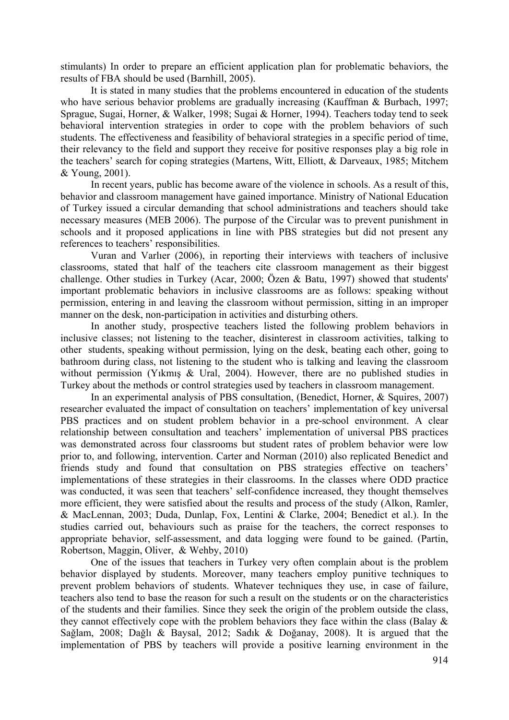stimulants) In order to prepare an efficient application plan for problematic behaviors, the results of FBA should be used (Barnhill, 2005).

It is stated in many studies that the problems encountered in education of the students who have serious behavior problems are gradually increasing (Kauffman & Burbach, 1997; Sprague, Sugai, Horner, & Walker, 1998; Sugai & Horner, 1994). Teachers today tend to seek behavioral intervention strategies in order to cope with the problem behaviors of such students. The effectiveness and feasibility of behavioral strategies in a specific period of time, their relevancy to the field and support they receive for positive responses play a big role in the teachers' search for coping strategies (Martens, Witt, Elliott, & Darveaux, 1985; Mitchem & Young, 2001).

In recent years, public has become aware of the violence in schools. As a result of this, behavior and classroom management have gained importance. Ministry of National Education of Turkey issued a circular demanding that school administrations and teachers should take necessary measures (MEB 2006). The purpose of the Circular was to prevent punishment in schools and it proposed applications in line with PBS strategies but did not present any references to teachers' responsibilities.

Vuran and Varlıer (2006), in reporting their interviews with teachers of inclusive classrooms, stated that half of the teachers cite classroom management as their biggest challenge. Other studies in Turkey (Acar, 2000; Özen & Batu, 1997) showed that students' important problematic behaviors in inclusive classrooms are as follows: speaking without permission, entering in and leaving the classroom without permission, sitting in an improper manner on the desk, non-participation in activities and disturbing others.

In another study, prospective teachers listed the following problem behaviors in inclusive classes; not listening to the teacher, disinterest in classroom activities, talking to other students, speaking without permission, lying on the desk, beating each other, going to bathroom during class, not listening to the student who is talking and leaving the classroom without permission (Yikmis & Ural, 2004). However, there are no published studies in Turkey about the methods or control strategies used by teachers in classroom management.

In an experimental analysis of PBS consultation, (Benedict, Horner, & Squires, 2007) researcher evaluated the impact of consultation on teachers' implementation of key universal PBS practices and on student problem behavior in a pre-school environment. A clear relationship between consultation and teachers' implementation of universal PBS practices was demonstrated across four classrooms but student rates of problem behavior were low prior to, and following, intervention. Carter and Norman (2010) also replicated Benedict and friends study and found that consultation on PBS strategies effective on teachers' implementations of these strategies in their classrooms. In the classes where ODD practice was conducted, it was seen that teachers' self-confidence increased, they thought themselves more efficient, they were satisfied about the results and process of the study (Alkon, Ramler, & MacLennan, 2003; Duda, Dunlap, Fox, Lentini & Clarke, 2004; Benedict et al.). In the studies carried out, behaviours such as praise for the teachers, the correct responses to appropriate behavior, self-assessment, and data logging were found to be gained. (Partin, Robertson, Maggin, Oliver, & Wehby, 2010)

One of the issues that teachers in Turkey very often complain about is the problem behavior displayed by students. Moreover, many teachers employ punitive techniques to prevent problem behaviors of students. Whatever techniques they use, in case of failure, teachers also tend to base the reason for such a result on the students or on the characteristics of the students and their families. Since they seek the origin of the problem outside the class, they cannot effectively cope with the problem behaviors they face within the class (Balay & Sağlam, 2008; Dağlı & Baysal, 2012; Sadık & Doğanay, 2008). It is argued that the implementation of PBS by teachers will provide a positive learning environment in the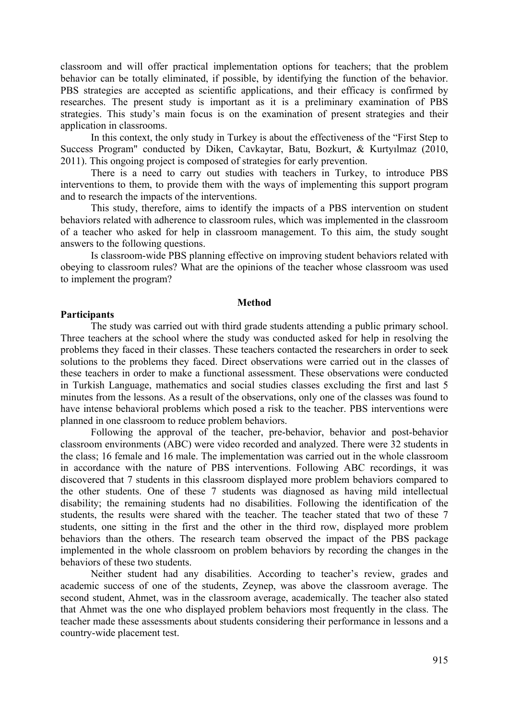classroom and will offer practical implementation options for teachers; that the problem behavior can be totally eliminated, if possible, by identifying the function of the behavior. PBS strategies are accepted as scientific applications, and their efficacy is confirmed by researches. The present study is important as it is a preliminary examination of PBS strategies. This study's main focus is on the examination of present strategies and their application in classrooms.

In this context, the only study in Turkey is about the effectiveness of the "First Step to Success Program" conducted by Diken, Cavkaytar, Batu, Bozkurt, & Kurtyılmaz (2010, 2011). This ongoing project is composed of strategies for early prevention.

There is a need to carry out studies with teachers in Turkey, to introduce PBS interventions to them, to provide them with the ways of implementing this support program and to research the impacts of the interventions.

This study, therefore, aims to identify the impacts of a PBS intervention on student behaviors related with adherence to classroom rules, which was implemented in the classroom of a teacher who asked for help in classroom management. To this aim, the study sought answers to the following questions.

Is classroom-wide PBS planning effective on improving student behaviors related with obeying to classroom rules? What are the opinions of the teacher whose classroom was used to implement the program?

#### **Method**

#### **Participants**

The study was carried out with third grade students attending a public primary school. Three teachers at the school where the study was conducted asked for help in resolving the problems they faced in their classes. These teachers contacted the researchers in order to seek solutions to the problems they faced. Direct observations were carried out in the classes of these teachers in order to make a functional assessment. These observations were conducted in Turkish Language, mathematics and social studies classes excluding the first and last 5 minutes from the lessons. As a result of the observations, only one of the classes was found to have intense behavioral problems which posed a risk to the teacher. PBS interventions were planned in one classroom to reduce problem behaviors.

Following the approval of the teacher, pre-behavior, behavior and post-behavior classroom environments (ABC) were video recorded and analyzed. There were 32 students in the class; 16 female and 16 male. The implementation was carried out in the whole classroom in accordance with the nature of PBS interventions. Following ABC recordings, it was discovered that 7 students in this classroom displayed more problem behaviors compared to the other students. One of these 7 students was diagnosed as having mild intellectual disability; the remaining students had no disabilities. Following the identification of the students, the results were shared with the teacher. The teacher stated that two of these 7 students, one sitting in the first and the other in the third row, displayed more problem behaviors than the others. The research team observed the impact of the PBS package implemented in the whole classroom on problem behaviors by recording the changes in the behaviors of these two students.

Neither student had any disabilities. According to teacher's review, grades and academic success of one of the students, Zeynep, was above the classroom average. The second student, Ahmet, was in the classroom average, academically. The teacher also stated that Ahmet was the one who displayed problem behaviors most frequently in the class. The teacher made these assessments about students considering their performance in lessons and a country-wide placement test.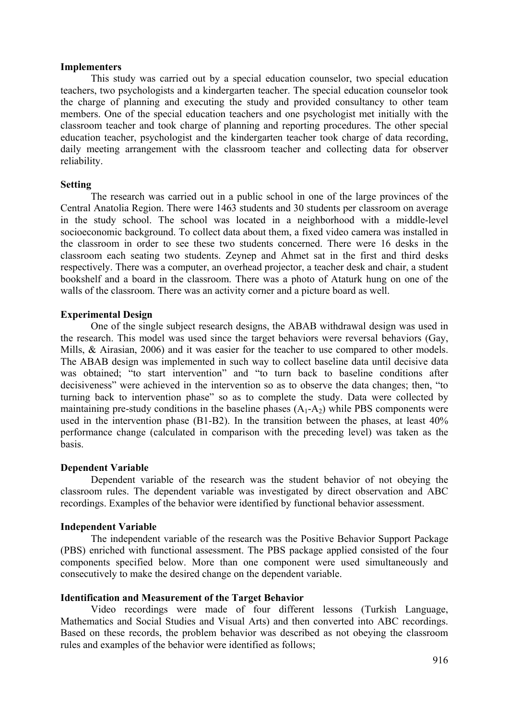# **Implementers**

This study was carried out by a special education counselor, two special education teachers, two psychologists and a kindergarten teacher. The special education counselor took the charge of planning and executing the study and provided consultancy to other team members. One of the special education teachers and one psychologist met initially with the classroom teacher and took charge of planning and reporting procedures. The other special education teacher, psychologist and the kindergarten teacher took charge of data recording, daily meeting arrangement with the classroom teacher and collecting data for observer reliability.

## **Setting**

The research was carried out in a public school in one of the large provinces of the Central Anatolia Region. There were 1463 students and 30 students per classroom on average in the study school. The school was located in a neighborhood with a middle-level socioeconomic background. To collect data about them, a fixed video camera was installed in the classroom in order to see these two students concerned. There were 16 desks in the classroom each seating two students. Zeynep and Ahmet sat in the first and third desks respectively. There was a computer, an overhead projector, a teacher desk and chair, a student bookshelf and a board in the classroom. There was a photo of Ataturk hung on one of the walls of the classroom. There was an activity corner and a picture board as well.

# **Experimental Design**

One of the single subject research designs, the ABAB withdrawal design was used in the research. This model was used since the target behaviors were reversal behaviors (Gay, Mills, & Airasian, 2006) and it was easier for the teacher to use compared to other models. The ABAB design was implemented in such way to collect baseline data until decisive data was obtained; "to start intervention" and "to turn back to baseline conditions after decisiveness" were achieved in the intervention so as to observe the data changes; then, "to turning back to intervention phase" so as to complete the study. Data were collected by maintaining pre-study conditions in the baseline phases  $(A_1-A_2)$  while PBS components were used in the intervention phase (B1-B2). In the transition between the phases, at least 40% performance change (calculated in comparison with the preceding level) was taken as the basis.

# **Dependent Variable**

Dependent variable of the research was the student behavior of not obeying the classroom rules. The dependent variable was investigated by direct observation and ABC recordings. Examples of the behavior were identified by functional behavior assessment.

# **Independent Variable**

The independent variable of the research was the Positive Behavior Support Package (PBS) enriched with functional assessment. The PBS package applied consisted of the four components specified below. More than one component were used simultaneously and consecutively to make the desired change on the dependent variable.

# **Identification and Measurement of the Target Behavior**

Video recordings were made of four different lessons (Turkish Language, Mathematics and Social Studies and Visual Arts) and then converted into ABC recordings. Based on these records, the problem behavior was described as not obeying the classroom rules and examples of the behavior were identified as follows;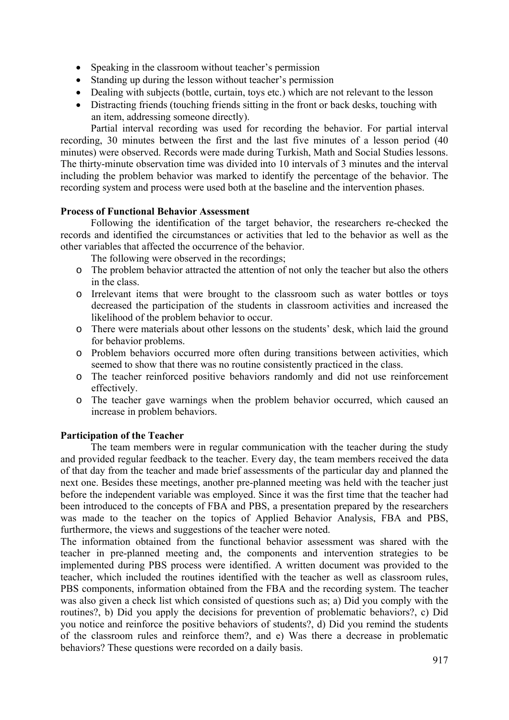- Speaking in the classroom without teacher's permission
- Standing up during the lesson without teacher's permission
- Dealing with subjects (bottle, curtain, toys etc.) which are not relevant to the lesson
- Distracting friends (touching friends sitting in the front or back desks, touching with an item, addressing someone directly).

Partial interval recording was used for recording the behavior. For partial interval recording, 30 minutes between the first and the last five minutes of a lesson period (40 minutes) were observed. Records were made during Turkish, Math and Social Studies lessons. The thirty-minute observation time was divided into 10 intervals of 3 minutes and the interval including the problem behavior was marked to identify the percentage of the behavior. The recording system and process were used both at the baseline and the intervention phases.

# **Process of Functional Behavior Assessment**

Following the identification of the target behavior, the researchers re-checked the records and identified the circumstances or activities that led to the behavior as well as the other variables that affected the occurrence of the behavior.

The following were observed in the recordings;

- o The problem behavior attracted the attention of not only the teacher but also the others in the class.
- o Irrelevant items that were brought to the classroom such as water bottles or toys decreased the participation of the students in classroom activities and increased the likelihood of the problem behavior to occur.
- o There were materials about other lessons on the students' desk, which laid the ground for behavior problems.
- o Problem behaviors occurred more often during transitions between activities, which seemed to show that there was no routine consistently practiced in the class.
- o The teacher reinforced positive behaviors randomly and did not use reinforcement effectively.
- o The teacher gave warnings when the problem behavior occurred, which caused an increase in problem behaviors.

# **Participation of the Teacher**

The team members were in regular communication with the teacher during the study and provided regular feedback to the teacher. Every day, the team members received the data of that day from the teacher and made brief assessments of the particular day and planned the next one. Besides these meetings, another pre-planned meeting was held with the teacher just before the independent variable was employed. Since it was the first time that the teacher had been introduced to the concepts of FBA and PBS, a presentation prepared by the researchers was made to the teacher on the topics of Applied Behavior Analysis, FBA and PBS, furthermore, the views and suggestions of the teacher were noted.

The information obtained from the functional behavior assessment was shared with the teacher in pre-planned meeting and, the components and intervention strategies to be implemented during PBS process were identified. A written document was provided to the teacher, which included the routines identified with the teacher as well as classroom rules, PBS components, information obtained from the FBA and the recording system. The teacher was also given a check list which consisted of questions such as; a) Did you comply with the routines?, b) Did you apply the decisions for prevention of problematic behaviors?, c) Did you notice and reinforce the positive behaviors of students?, d) Did you remind the students of the classroom rules and reinforce them?, and e) Was there a decrease in problematic behaviors? These questions were recorded on a daily basis.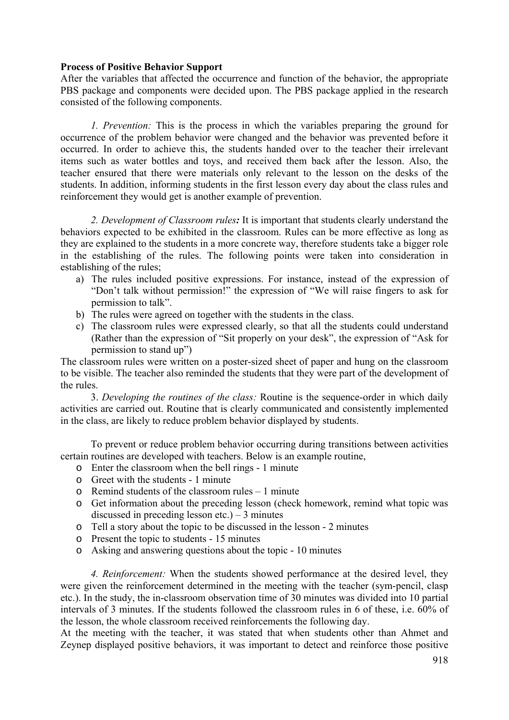# **Process of Positive Behavior Support**

After the variables that affected the occurrence and function of the behavior, the appropriate PBS package and components were decided upon. The PBS package applied in the research consisted of the following components.

*1. Prevention:* This is the process in which the variables preparing the ground for occurrence of the problem behavior were changed and the behavior was prevented before it occurred. In order to achieve this, the students handed over to the teacher their irrelevant items such as water bottles and toys, and received them back after the lesson. Also, the teacher ensured that there were materials only relevant to the lesson on the desks of the students. In addition, informing students in the first lesson every day about the class rules and reinforcement they would get is another example of prevention.

*2. Development of Classroom rules:* It is important that students clearly understand the behaviors expected to be exhibited in the classroom. Rules can be more effective as long as they are explained to the students in a more concrete way, therefore students take a bigger role in the establishing of the rules. The following points were taken into consideration in establishing of the rules;

- a) The rules included positive expressions. For instance, instead of the expression of "Don't talk without permission!" the expression of "We will raise fingers to ask for permission to talk".
- b) The rules were agreed on together with the students in the class.
- c) The classroom rules were expressed clearly, so that all the students could understand (Rather than the expression of "Sit properly on your desk", the expression of "Ask for permission to stand up")

The classroom rules were written on a poster-sized sheet of paper and hung on the classroom to be visible. The teacher also reminded the students that they were part of the development of the rules.

3. *Developing the routines of the class:* Routine is the sequence-order in which daily activities are carried out. Routine that is clearly communicated and consistently implemented in the class, are likely to reduce problem behavior displayed by students.

To prevent or reduce problem behavior occurring during transitions between activities certain routines are developed with teachers. Below is an example routine,

- o Enter the classroom when the bell rings 1 minute
- o Greet with the students 1 minute
- o Remind students of the classroom rules 1 minute
- o Get information about the preceding lesson (check homework, remind what topic was discussed in preceding lesson etc.)  $-3$  minutes
- o Tell a story about the topic to be discussed in the lesson 2 minutes
- o Present the topic to students 15 minutes
- o Asking and answering questions about the topic 10 minutes

*4. Reinforcement:* When the students showed performance at the desired level, they were given the reinforcement determined in the meeting with the teacher (sym-pencil, clasp etc.). In the study, the in-classroom observation time of 30 minutes was divided into 10 partial intervals of 3 minutes. If the students followed the classroom rules in 6 of these, i.e. 60% of the lesson, the whole classroom received reinforcements the following day.

At the meeting with the teacher, it was stated that when students other than Ahmet and Zeynep displayed positive behaviors, it was important to detect and reinforce those positive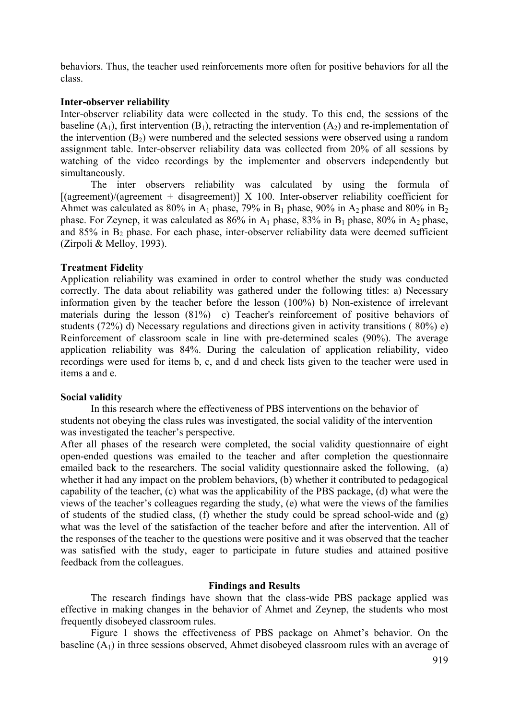behaviors. Thus, the teacher used reinforcements more often for positive behaviors for all the class.

# **Inter-observer reliability**

Inter-observer reliability data were collected in the study. To this end, the sessions of the baseline  $(A_1)$ , first intervention  $(B_1)$ , retracting the intervention  $(A_2)$  and re-implementation of the intervention  $(B_2)$  were numbered and the selected sessions were observed using a random assignment table. Inter-observer reliability data was collected from 20% of all sessions by watching of the video recordings by the implementer and observers independently but simultaneously.

The inter observers reliability was calculated by using the formula of  $[(agreement)/(agreement + disagreement)] \times 100$ . Inter-observer reliability coefficient for Ahmet was calculated as 80% in  $A_1$  phase, 79% in  $B_1$  phase, 90% in  $A_2$  phase and 80% in  $B_2$ phase. For Zeynep, it was calculated as  $86\%$  in  $A_1$  phase,  $83\%$  in  $B_1$  phase,  $80\%$  in  $A_2$  phase, and  $85\%$  in B<sub>2</sub> phase. For each phase, inter-observer reliability data were deemed sufficient (Zirpoli & Melloy, 1993).

# **Treatment Fidelity**

Application reliability was examined in order to control whether the study was conducted correctly. The data about reliability was gathered under the following titles: a) Necessary information given by the teacher before the lesson (100%) b) Non-existence of irrelevant materials during the lesson (81%) c) Teacher's reinforcement of positive behaviors of students (72%) d) Necessary regulations and directions given in activity transitions ( 80%) e) Reinforcement of classroom scale in line with pre-determined scales (90%). The average application reliability was 84%. During the calculation of application reliability, video recordings were used for items b, c, and d and check lists given to the teacher were used in items a and e.

# **Social validity**

In this research where the effectiveness of PBS interventions on the behavior of students not obeying the class rules was investigated, the social validity of the intervention was investigated the teacher's perspective.

After all phases of the research were completed, the social validity questionnaire of eight open-ended questions was emailed to the teacher and after completion the questionnaire emailed back to the researchers. The social validity questionnaire asked the following, (a) whether it had any impact on the problem behaviors, (b) whether it contributed to pedagogical capability of the teacher, (c) what was the applicability of the PBS package, (d) what were the views of the teacher's colleagues regarding the study, (e) what were the views of the families of students of the studied class, (f) whether the study could be spread school-wide and (g) what was the level of the satisfaction of the teacher before and after the intervention. All of the responses of the teacher to the questions were positive and it was observed that the teacher was satisfied with the study, eager to participate in future studies and attained positive feedback from the colleagues.

# **Findings and Results**

The research findings have shown that the class-wide PBS package applied was effective in making changes in the behavior of Ahmet and Zeynep, the students who most frequently disobeyed classroom rules.

Figure 1 shows the effectiveness of PBS package on Ahmet's behavior. On the baseline  $(A_1)$  in three sessions observed, Ahmet disobeyed classroom rules with an average of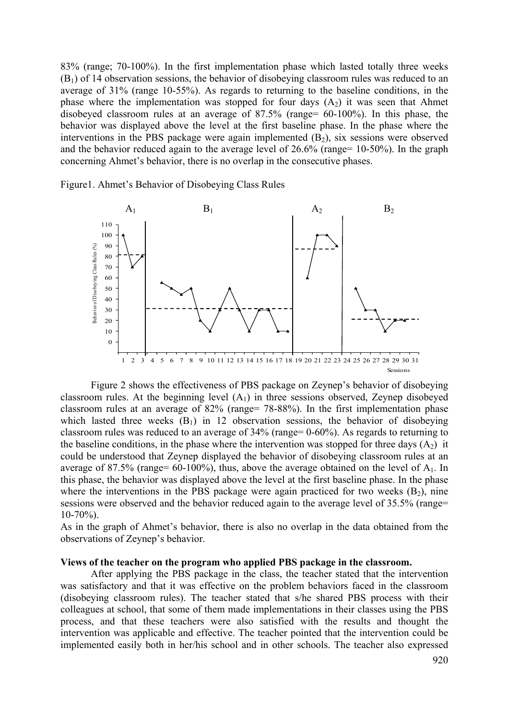83% (range; 70-100%). In the first implementation phase which lasted totally three weeks  $(B<sub>1</sub>)$  of 14 observation sessions, the behavior of disobeying classroom rules was reduced to an average of 31% (range 10-55%). As regards to returning to the baseline conditions, in the phase where the implementation was stopped for four days  $(A_2)$  it was seen that Ahmet disobeyed classroom rules at an average of 87.5% (range= 60-100%). In this phase, the behavior was displayed above the level at the first baseline phase. In the phase where the interventions in the PBS package were again implemented  $(B_2)$ , six sessions were observed and the behavior reduced again to the average level of 26.6% (range= 10-50%). In the graph concerning Ahmet's behavior, there is no overlap in the consecutive phases.





Figure 2 shows the effectiveness of PBS package on Zeynep's behavior of disobeying classroom rules. At the beginning level  $(A<sub>1</sub>)$  in three sessions observed, Zeynep disobeyed classroom rules at an average of 82% (range= 78-88%). In the first implementation phase which lasted three weeks  $(B_1)$  in 12 observation sessions, the behavior of disobeying classroom rules was reduced to an average of 34% (range= 0-60%). As regards to returning to the baseline conditions, in the phase where the intervention was stopped for three days  $(A_2)$  it could be understood that Zeynep displayed the behavior of disobeying classroom rules at an average of 87.5% (range=  $60-100\%$ ), thus, above the average obtained on the level of  $A_1$ . In this phase, the behavior was displayed above the level at the first baseline phase. In the phase where the interventions in the PBS package were again practiced for two weeks  $(B_2)$ , nine sessions were observed and the behavior reduced again to the average level of 35.5% (range=  $10-70\%$ ).

As in the graph of Ahmet's behavior, there is also no overlap in the data obtained from the observations of Zeynep's behavior.

#### **Views of the teacher on the program who applied PBS package in the classroom.**

After applying the PBS package in the class, the teacher stated that the intervention was satisfactory and that it was effective on the problem behaviors faced in the classroom (disobeying classroom rules). The teacher stated that s/he shared PBS process with their colleagues at school, that some of them made implementations in their classes using the PBS process, and that these teachers were also satisfied with the results and thought the intervention was applicable and effective. The teacher pointed that the intervention could be implemented easily both in her/his school and in other schools. The teacher also expressed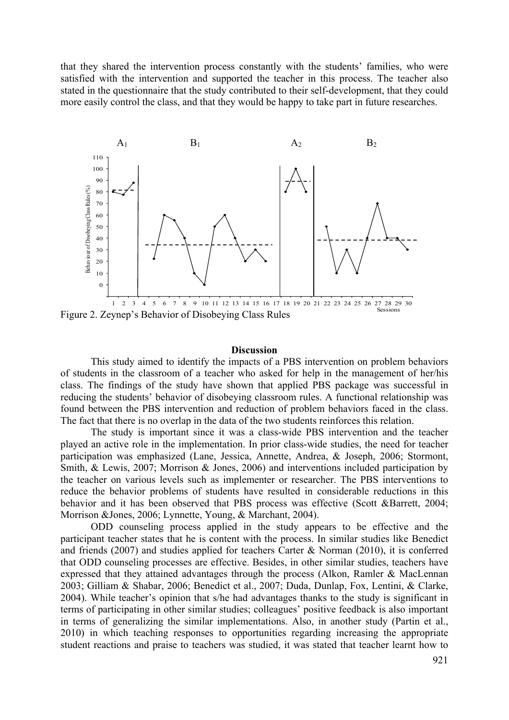that they shared the intervention process constantly with the students' families, who were satisfied with the intervention and supported the teacher in this process. The teacher also stated in the questionnaire that the study contributed to their self-development, that they could more easily control the class, and that they would be happy to take part in future researches.



Figure 2. Zeynep's Behavior of Disobeying Class Rules

## **Discussion**

This study aimed to identify the impacts of a PBS intervention on problem behaviors of students in the classroom of a teacher who asked for help in the management of her/his class. The findings of the study have shown that applied PBS package was successful in reducing the students' behavior of disobeying classroom rules. A functional relationship was found between the PBS intervention and reduction of problem behaviors faced in the class. The fact that there is no overlap in the data of the two students reinforces this relation.

The study is important since it was a class-wide PBS intervention and the teacher played an active role in the implementation. In prior class-wide studies, the need for teacher participation was emphasized (Lane, Jessica, Annette, Andrea, & Joseph, 2006; Stormont, Smith, & Lewis, 2007; Morrison & Jones, 2006) and interventions included participation by the teacher on various levels such as implementer or researcher. The PBS interventions to reduce the behavior problems of students have resulted in considerable reductions in this behavior and it has been observed that PBS process was effective (Scott &Barrett, 2004; Morrison &Jones, 2006; Lynnette, Young, & Marchant, 2004).

ODD counseling process applied in the study appears to be effective and the participant teacher states that he is content with the process. In similar studies like Benedict and friends (2007) and studies applied for teachers Carter & Norman (2010), it is conferred that ODD counseling processes are effective. Besides, in other similar studies, teachers have expressed that they attained advantages through the process (Alkon, Ramler & MacLennan 2003; Gilliam & Shabar, 2006; Benedict et al., 2007; Duda, Dunlap, Fox, Lentini, & Clarke, 2004). While teacher's opinion that s/he had advantages thanks to the study is significant in terms of participating in other similar studies; colleagues' positive feedback is also important in terms of generalizing the similar implementations. Also, in another study (Partin et al., 2010) in which teaching responses to opportunities regarding increasing the appropriate student reactions and praise to teachers was studied, it was stated that teacher learnt how to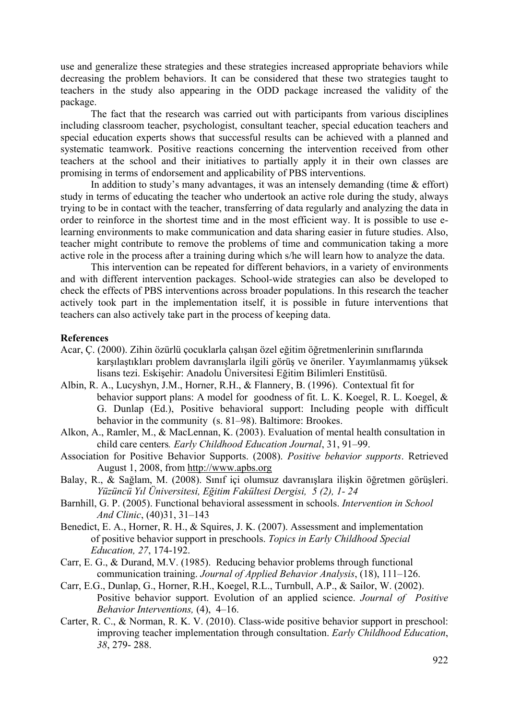use and generalize these strategies and these strategies increased appropriate behaviors while decreasing the problem behaviors. It can be considered that these two strategies taught to teachers in the study also appearing in the ODD package increased the validity of the package.

The fact that the research was carried out with participants from various disciplines including classroom teacher, psychologist, consultant teacher, special education teachers and special education experts shows that successful results can be achieved with a planned and systematic teamwork. Positive reactions concerning the intervention received from other teachers at the school and their initiatives to partially apply it in their own classes are promising in terms of endorsement and applicability of PBS interventions.

In addition to study's many advantages, it was an intensely demanding (time  $\&$  effort) study in terms of educating the teacher who undertook an active role during the study, always trying to be in contact with the teacher, transferring of data regularly and analyzing the data in order to reinforce in the shortest time and in the most efficient way. It is possible to use elearning environments to make communication and data sharing easier in future studies. Also, teacher might contribute to remove the problems of time and communication taking a more active role in the process after a training during which s/he will learn how to analyze the data.

This intervention can be repeated for different behaviors, in a variety of environments and with different intervention packages. School-wide strategies can also be developed to check the effects of PBS interventions across broader populations. In this research the teacher actively took part in the implementation itself, it is possible in future interventions that teachers can also actively take part in the process of keeping data.

# **References**

- Acar, Ç. (2000). Zihin özürlü çocuklarla çalışan özel eğitim öğretmenlerinin sınıflarında karşılaştıkları problem davranışlarla ilgili görüş ve öneriler. Yayımlanmamış yüksek lisans tezi. Eskişehir: Anadolu Üniversitesi Eğitim Bilimleri Enstitüsü.
- Albin, R. A., Lucyshyn, J.M., Horner, R.H., & Flannery, B. (1996). Contextual fit for behavior support plans: A model for goodness of fit. L. K. Koegel, R. L. Koegel, & G. Dunlap (Ed.), Positive behavioral support: Including people with difficult behavior in the community (s. 81–98). Baltimore: Brookes.
- Alkon, A., Ramler, M., & MacLennan, K. (2003). Evaluation of mental health consultation in child care centers*. Early Childhood Education Journal*, 31, 91–99.
- Association for Positive Behavior Supports. (2008). *Positive behavior supports*. Retrieved August 1, 2008, from http://www.apbs.org
- Balay, R., & Sağlam, M. (2008). Sınıf içi olumsuz davranışlara ilişkin öğretmen görüşleri. *Yüzüncü Yıl Üniversitesi, Eğitim Fakültesi Dergisi, 5 (2), 1- 24*
- Barnhill, G. P. (2005). Functional behavioral assessment in schools. *Intervention in School And Clinic*, (40)31, 31–143
- Benedict, E. A., Horner, R. H., & Squires, J. K. (2007). Assessment and implementation of positive behavior support in preschools. *Topics in Early Childhood Special Education, 27*, 174-192.
- Carr, E. G., & Durand, M.V. (1985). Reducing behavior problems through functional communication training. *Journal of Applied Behavior Analysis*, (18), 111–126.
- Carr, E.G., Dunlap, G., Horner, R.H., Koegel, R.L., Turnbull, A.P., & Sailor, W. (2002). Positive behavior support. Evolution of an applied science. *Journal of Positive Behavior Interventions,* (4), 4–16.
- Carter, R. C., & Norman, R. K. V. (2010). Class-wide positive behavior support in preschool: improving teacher implementation through consultation. *Early Childhood Education*, *38*, 279- 288.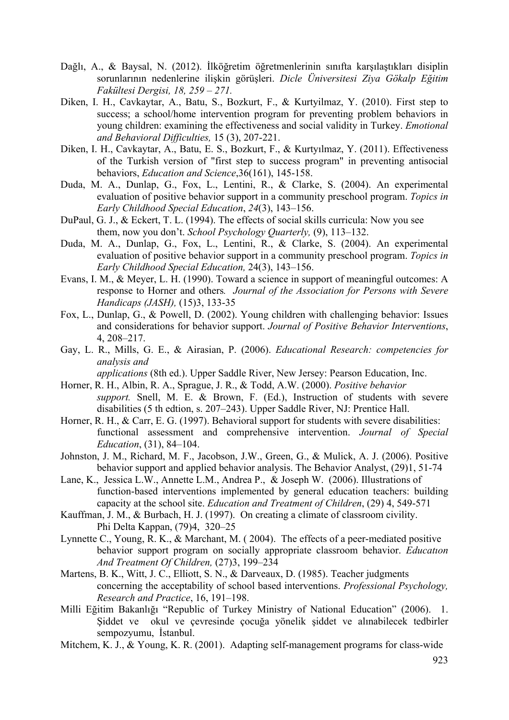- Dağlı, A., & Baysal, N. (2012). İlköğretim öğretmenlerinin sınıfta karşılaştıkları disiplin sorunlarının nedenlerine ilişkin görüşleri. *Dicle Üniversitesi Ziya Gökalp Eğitim Fakültesi Dergisi, 18, 259 – 271.*
- Diken, I. H., Cavkaytar, A., Batu, S., Bozkurt, F., & Kurtyilmaz, Y. (2010). First step to success; a school/home intervention program for preventing problem behaviors in young children: examining the effectiveness and social validity in Turkey. *Emotional and Behavioral Difficulties,* 15 (3), 207-221.
- Diken, I. H., Cavkaytar, A., Batu, E. S., Bozkurt, F., & Kurtyılmaz, Y. (2011). Effectiveness of the Turkish version of "first step to success program" in preventing antisocial behaviors, *Education and Science*,36(161), 145-158.
- Duda, M. A., Dunlap, G., Fox, L., Lentini, R., & Clarke, S. (2004). An experimental evaluation of positive behavior support in a community preschool program. *Topics in Early Childhood Special Education*, *24*(3), 143–156.
- DuPaul, G. J., & Eckert, T. L. (1994). The effects of social skills curricula: Now you see them, now you don't. *School Psychology Quarterly,* (9), 113–132.
- Duda, M. A., Dunlap, G., Fox, L., Lentini, R., & Clarke, S. (2004). An experimental evaluation of positive behavior support in a community preschool program. *Topics in Early Childhood Special Education,* 24(3), 143–156.
- Evans, I. M., & Meyer, L. H. (1990). Toward a science in support of meaningful outcomes: A response to Horner and others*. Journal of the Association for Persons with Severe Handicaps (JASH),* (15)3, 133-35
- Fox, L., Dunlap, G., & Powell, D. (2002). Young children with challenging behavior: Issues and considerations for behavior support. *Journal of Positive Behavior Interventions*, 4, 208–217.
- Gay, L. R., Mills, G. E., & Airasian, P. (2006). *Educational Research: competencies for analysis and*
- *applications* (8th ed.). Upper Saddle River, New Jersey: Pearson Education, Inc. Horner, R. H., Albin, R. A., Sprague, J. R., & Todd, A.W. (2000). *Positive behavior*
- *support.* Snell, M. E. & Brown, F. (Ed.), Instruction of students with severe disabilities (5 th edtion, s. 207–243). Upper Saddle River, NJ: Prentice Hall.
- Horner, R. H., & Carr, E. G. (1997). Behavioral support for students with severe disabilities: functional assessment and comprehensive intervention. *Journal of Special Education*, (31), 84–104.
- Johnston, J. M., Richard, M. F., Jacobson, J.W., Green, G., & Mulick, A. J. (2006). Positive behavior support and applied behavior analysis. The Behavior Analyst, (29)1, 51-74
- Lane, K., Jessica L.W., Annette L.M., Andrea P., & Joseph W. (2006). Illustrations of function-based interventions implemented by general education teachers: building capacity at the school site. *Education and Treatment of Children*, (29) 4, 549-571
- Kauffman, J. M., & Burbach, H. J. (1997). On creating a climate of classroom civility. Phi Delta Kappan, (79)4, 320–25
- Lynnette C., Young, R. K., & Marchant, M. ( 2004). The effects of a peer-mediated positive behavior support program on socially appropriate classroom behavior. *Educatıon And Treatment Of Children,* (27)3, 199–234
- Martens, B. K., Witt, J. C., Elliott, S. N., & Darveaux, D. (1985). Teacher judgments concerning the acceptability of school based interventions. *Professional Psychology, Research and Practice*, 16, 191–198.
- Milli Eğitim Bakanlığı "Republic of Turkey Ministry of National Education" (2006). 1. Şiddet ve okul ve çevresinde çocuğa yönelik şiddet ve alınabilecek tedbirler sempozyumu, İstanbul.
- Mitchem, K. J., & Young, K. R. (2001). Adapting self-management programs for class-wide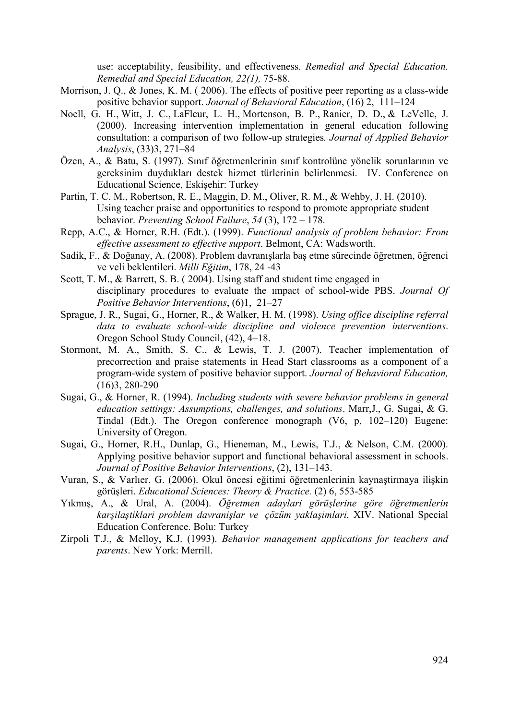use: acceptability, feasibility, and effectiveness. *Remedial and Special Education. Remedial and Special Education, 22(1),* 75-88.

- Morrison, J. Q., & Jones, K. M. ( 2006). The effects of positive peer reporting as a class-wide positive behavior support. *Journal of Behavioral Education*, (16) 2, 111–124
- Noell, G. H., Witt, J. C., LaFleur, L. H., Mortenson, B. P., Ranier, D. D., & LeVelle, J. (2000). Increasing intervention implementation in general education following consultation: a comparison of two follow-up strategies*. Journal of Applied Behavior Analysis*, (33)3, 271–84
- Özen, A., & Batu, S. (1997). Sınıf öğretmenlerinin sınıf kontrolüne yönelik sorunlarının ve gereksinim duydukları destek hizmet türlerinin belirlenmesi. IV. Conference on Educational Science, Eskişehir: Turkey
- Partin, T. C. M., Robertson, R. E., Maggin, D. M., Oliver, R. M., & Wehby, J. H. (2010). Using teacher praise and opportunities to respond to promote appropriate student behavior. *Preventing School Failure*, *54* (3), 172 – 178.
- Repp, A.C., & Horner, R.H. (Edt.). (1999). *Functional analysis of problem behavior: From effective assessment to effective support*. Belmont, CA: Wadsworth.
- Sadik, F., & Doğanay, A. (2008). Problem davranışlarla baş etme sürecinde öğretmen, öğrenci ve veli beklentileri. *Milli Eğitim*, 178, 24 -43
- Scott, T. M., & Barrett, S. B. ( 2004). Using staff and student time engaged in disciplinary procedures to evaluate the ımpact of school-wide PBS. *Journal Of Positive Behavior Interventions*, (6)1, 21–27
- Sprague, J. R., Sugai, G., Horner, R., & Walker, H. M. (1998). *Using office discipline referral data to evaluate school-wide discipline and violence prevention interventions*. Oregon School Study Council, (42), 4–18.
- Stormont, M. A., Smith, S. C., & Lewis, T. J. (2007). Teacher implementation of precorrection and praise statements in Head Start classrooms as a component of a program-wide system of positive behavior support. *Journal of Behavioral Education,* (16)3, 280-290
- Sugai, G., & Horner, R. (1994). *Including students with severe behavior problems in general education settings: Assumptions, challenges, and solutions*. Marr,J., G. Sugai, & G. Tindal (Edt.). The Oregon conference monograph (V6, p, 102–120) Eugene: University of Oregon.
- Sugai, G., Horner, R.H., Dunlap, G., Hieneman, M., Lewis, T.J., & Nelson, C.M. (2000). Applying positive behavior support and functional behavioral assessment in schools. *Journal of Positive Behavior Interventions*, (2), 131–143.
- Vuran, S., & Varlıer, G. (2006). Okul öncesi eğitimi öğretmenlerinin kaynaştirmaya ilişkin görüşleri. *Educational Sciences: Theory & Practice.* (2) 6, 553-585
- Yıkmış, A., & Ural, A. (2004). *Öğretmen adaylari görüşlerine göre öğretmenlerin karşilaştiklari problem davranişlar ve çözüm yaklaşimlari.* XIV. National Special Education Conference. Bolu: Turkey
- Zirpoli T.J., & Melloy, K.J. (1993). *Behavior management applications for teachers and parents*. New York: Merrill.